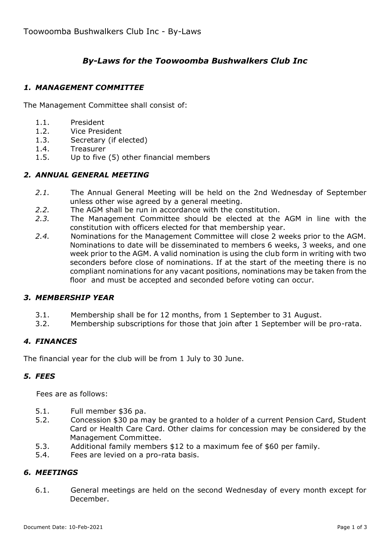# *By-Laws for the Toowoomba Bushwalkers Club Inc*

### *1. MANAGEMENT COMMITTEE*

The Management Committee shall consist of:

- 1.1. President
- 1.2. Vice President
- 1.3. Secretary (if elected)
- 1.4. Treasurer
- 1.5. Up to five (5) other financial members

### *2. ANNUAL GENERAL MEETING*

- *2.1.* The Annual General Meeting will be held on the 2nd Wednesday of September unless other wise agreed by a general meeting.
- *2.2.* The AGM shall be run in accordance with the constitution.
- *2.3.* The Management Committee should be elected at the AGM in line with the constitution with officers elected for that membership year.
- *2.4.* Nominations for the Management Committee will close 2 weeks prior to the AGM. Nominations to date will be disseminated to members 6 weeks, 3 weeks, and one week prior to the AGM. A valid nomination is using the club form in writing with two seconders before close of nominations. If at the start of the meeting there is no compliant nominations for any vacant positions, nominations may be taken from the floor and must be accepted and seconded before voting can occur.

### *3. MEMBERSHIP YEAR*

- 3.1. Membership shall be for 12 months, from 1 September to 31 August.
- 3.2. Membership subscriptions for those that join after 1 September will be pro-rata.

### *4. FINANCES*

The financial year for the club will be from 1 July to 30 June.

### *5. FEES*

Fees are as follows:

- 5.1. Full member \$36 pa.
- 5.2. Concession \$30 pa may be granted to a holder of a current Pension Card, Student Card or Health Care Card. Other claims for concession may be considered by the Management Committee.
- 5.3. Additional family members \$12 to a maximum fee of \$60 per family.
- 5.4. Fees are levied on a pro-rata basis.

#### *6. MEETINGS*

6.1. General meetings are held on the second Wednesday of every month except for December.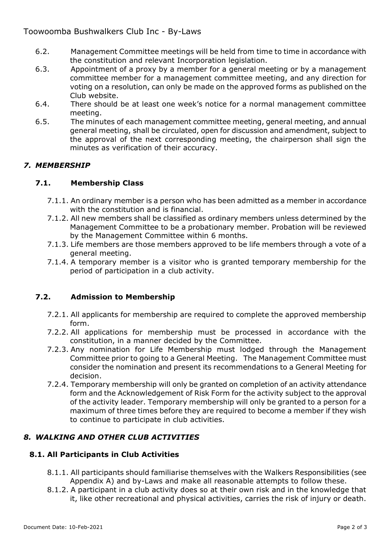# Toowoomba Bushwalkers Club Inc - By-Laws

- 6.2. Management Committee meetings will be held from time to time in accordance with the constitution and relevant Incorporation legislation.
- 6.3. Appointment of a proxy by a member for a general meeting or by a management committee member for a management committee meeting, and any direction for voting on a resolution, can only be made on the approved forms as published on the Club website.
- 6.4. There should be at least one week's notice for a normal management committee meeting.
- 6.5. The minutes of each management committee meeting, general meeting, and annual general meeting, shall be circulated, open for discussion and amendment, subject to the approval of the next corresponding meeting, the chairperson shall sign the minutes as verification of their accuracy.

# *7. MEMBERSHIP*

## **7.1. Membership Class**

- 7.1.1. An ordinary member is a person who has been admitted as a member in accordance with the constitution and is financial.
- 7.1.2. All new members shall be classified as ordinary members unless determined by the Management Committee to be a probationary member. Probation will be reviewed by the Management Committee within 6 months.
- 7.1.3. Life members are those members approved to be life members through a vote of a general meeting.
- 7.1.4. A temporary member is a visitor who is granted temporary membership for the period of participation in a club activity.

# **7.2. Admission to Membership**

- 7.2.1. All applicants for membership are required to complete the approved membership form.
- 7.2.2. All applications for membership must be processed in accordance with the constitution, in a manner decided by the Committee.
- 7.2.3. Any nomination for Life Membership must lodged through the Management Committee prior to going to a General Meeting. The Management Committee must consider the nomination and present its recommendations to a General Meeting for decision.
- 7.2.4. Temporary membership will only be granted on completion of an activity attendance form and the Acknowledgement of Risk Form for the activity subject to the approval of the activity leader. Temporary membership will only be granted to a person for a maximum of three times before they are required to become a member if they wish to continue to participate in club activities.

# *8. WALKING AND OTHER CLUB ACTIVITIES*

### **8.1. All Participants in Club Activities**

- 8.1.1. All participants should familiarise themselves with the Walkers Responsibilities (see Appendix A) and by-Laws and make all reasonable attempts to follow these.
- 8.1.2. A participant in a club activity does so at their own risk and in the knowledge that it, like other recreational and physical activities, carries the risk of injury or death.